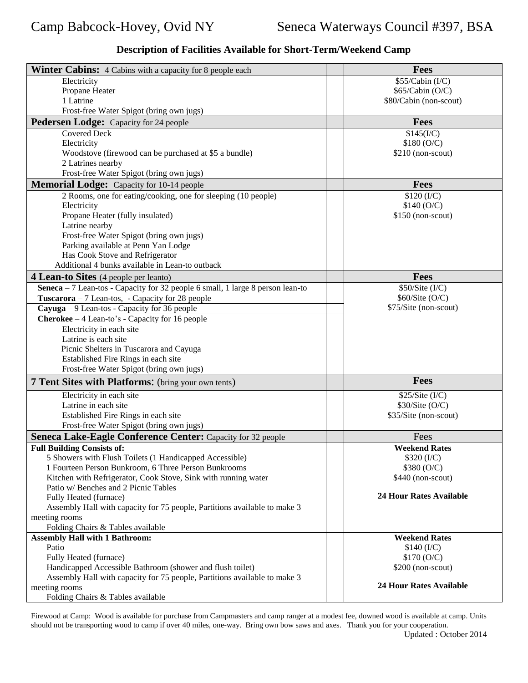| <b>Winter Cabins:</b> 4 Cabins with a capacity for 8 people each               | <b>Fees</b>                    |
|--------------------------------------------------------------------------------|--------------------------------|
| Electricity                                                                    | \$55/Cabin (I/C)               |
| Propane Heater                                                                 | \$65/Cabin (O/C)               |
| 1 Latrine                                                                      | \$80/Cabin (non-scout)         |
| Frost-free Water Spigot (bring own jugs)                                       |                                |
| <b>Pedersen Lodge:</b> Capacity for 24 people                                  | <b>Fees</b>                    |
| <b>Covered Deck</b>                                                            | \$145(I/C)                     |
| Electricity                                                                    | \$180 (O/C)                    |
| Woodstove (firewood can be purchased at \$5 a bundle)                          | $$210$ (non-scout)             |
| 2 Latrines nearby                                                              |                                |
| Frost-free Water Spigot (bring own jugs)                                       |                                |
| <b>Memorial Lodge:</b> Capacity for 10-14 people                               | <b>Fees</b>                    |
|                                                                                |                                |
| 2 Rooms, one for eating/cooking, one for sleeping (10 people)                  | \$120 (I/C)                    |
| Electricity                                                                    | \$140 (O/C)                    |
| Propane Heater (fully insulated)                                               | $$150$ (non-scout)             |
| Latrine nearby                                                                 |                                |
| Frost-free Water Spigot (bring own jugs)                                       |                                |
| Parking available at Penn Yan Lodge                                            |                                |
| Has Cook Stove and Refrigerator                                                |                                |
| Additional 4 bunks available in Lean-to outback                                |                                |
| 4 Lean-to Sites (4 people per leanto)                                          | <b>Fees</b>                    |
| Seneca - 7 Lean-tos - Capacity for 32 people 6 small, 1 large 8 person lean-to | \$50/Site (I/C)                |
| <b>Tuscarora</b> $-7$ Lean-tos, - Capacity for 28 people                       | \$60/Site (O/C)                |
| $Cayuga - 9$ Lean-tos - Capacity for 36 people                                 | \$75/Site (non-scout)          |
| Cherokee - 4 Lean-to's - Capacity for 16 people                                |                                |
| Electricity in each site                                                       |                                |
| Latrine is each site                                                           |                                |
| Picnic Shelters in Tuscarora and Cayuga                                        |                                |
| Established Fire Rings in each site                                            |                                |
| Frost-free Water Spigot (bring own jugs)                                       |                                |
| <b>7 Tent Sites with Platforms:</b> (bring your own tents)                     | <b>Fees</b>                    |
|                                                                                |                                |
| Electricity in each site                                                       | \$25/Site (I/C)                |
| Latrine in each site                                                           | \$30/Site (O/C)                |
| Established Fire Rings in each site                                            | \$35/Site (non-scout)          |
| Frost-free Water Spigot (bring own jugs)                                       |                                |
| Seneca Lake-Eagle Conference Center: Capacity for 32 people                    | Fees                           |
| <b>Full Building Consists of:</b>                                              | <b>Weekend Rates</b>           |
| 5 Showers with Flush Toilets (1 Handicapped Accessible)                        | \$320 (I/C)                    |
| 1 Fourteen Person Bunkroom, 6 Three Person Bunkrooms                           | \$380 (O/C)                    |
| Kitchen with Refrigerator, Cook Stove, Sink with running water                 | \$440 (non-scout)              |
| Patio w/ Benches and 2 Picnic Tables                                           |                                |
| Fully Heated (furnace)                                                         | <b>24 Hour Rates Available</b> |
| Assembly Hall with capacity for 75 people, Partitions available to make 3      |                                |
| meeting rooms                                                                  |                                |
| Folding Chairs & Tables available                                              |                                |
| <b>Assembly Hall with 1 Bathroom:</b>                                          | <b>Weekend Rates</b>           |
| Patio                                                                          | \$140 (I/C)                    |
| Fully Heated (furnace)                                                         | \$170 (O/C)                    |
| Handicapped Accessible Bathroom (shower and flush toilet)                      | $$200$ (non-scout)             |
| Assembly Hall with capacity for 75 people, Partitions available to make 3      |                                |
| meeting rooms                                                                  | <b>24 Hour Rates Available</b> |
| Folding Chairs & Tables available                                              |                                |

## **Description of Facilities Available for Short-Term/Weekend Camp**

Firewood at Camp: Wood is available for purchase from Campmasters and camp ranger at a modest fee, downed wood is available at camp. Units should not be transporting wood to camp if over 40 miles, one-way. Bring own bow saws and axes. Thank you for your cooperation.